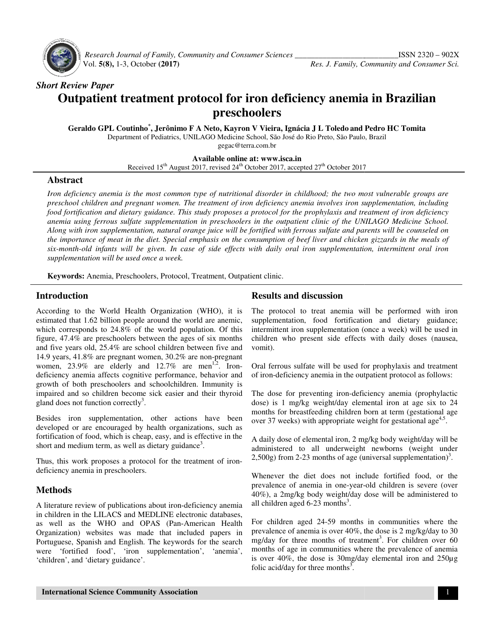

Research Journal of Family, Community and Consumer Sciences \_\_\_\_\_\_\_\_\_\_\_\_\_\_\_\_\_\_\_\_\_ Vol. **5(8),** 1-3, October **(2017)**

# *Short Review Paper*  **Outpatient treatment protocol for iron deficiency anemia in Brazilian preschoolers**

**Geraldo GPL Coutinho\* , Jerônimo F A Neto Neto, Kayron V Vieira, Ignácia J L Toledo and Pedro HC Tomita** Department of Pediatrics, UNILAGO Medicine School, São José do Rio Preto, São Paulo, Brazil ment of Pediatrics, UNILAGO Medicine School, São José do Rio Preto, São Paulo,<br>gegac@terra.com.br<br>**Available online at: www.isca.in**<br>Received 15<sup>th</sup> August 2017, revised 24<sup>th</sup> October 2017, accepted 27<sup>th</sup> October 2017 gegac@terra.com.br

**Available online at: www.isca.in** 

# **Abstract**

Iron deficiency anemia is the most common type of nutritional disorder in childhood; the two most vulnerable groups are *preschool children and pregnant women. The treatment of iron preschool The treatment of deficiency anemia involves iron supplementation, including iron supplementation, including*  food fortification and dietary guidance. This study proposes a protocol for the prophylaxis and treatment of iron deficiency *anemia using ferrous sulfate supplementation in preschoolers in the outpatient clinic of the UNILAGO Medicine School.* Along with iron supplementation, natural orange juice will be fortified with ferrous sulfate and parents will be counseled on<br>the importance of meat in the diet. Special emphasis on the consumption of beef liver and chicke the importance of meat in the diet. Special emphasis on the consumption of beef liver and chicken gizzards in the meals of *six-month-old infants will be given. In case of side effects with daily oral iron supplementation, intermittent oral iron* supplementation will be used once a week.

Keywords: Anemia, Preschoolers, Protocol, Treatment, Outpatient clinic.

# **Introduction**

According to the World Health Organization (WHO), it is estimated that 1.62 billion people around the world are anemic, which corresponds to 24.8% of the world population. Of this figure,  $47.4\%$  are preschoolers between the ages of six months and five years old, 25.4% are school children between five and and five years old, 25.4% are school children between five and 14.9 years, 41.8% are pregnant women, 30.2% are non-pregnant women, 23.9% are elderly and  $12.7\%$  are men<sup>1,2</sup>. Irondeficiency anemia affects cognitive performance, behavior and growth of both preschoolers and schoolchildren. Immunity is deficiency anemia affects cognitive performance, behavior and growth of both preschoolers and schoolchildren. Immunity is impaired and so children become sick easier and their thyroid gland does not function correctly<sup>3</sup>. In Organization (WHO), it is<br>around the world are anemic,<br>the world population. Of this **Results and discussion**<br> **Results and discussion**<br>
billion people around the world are anemic, supplementation, food for<br>
to 24.8% of the world population. Of this intermittent iron supplement<br>
preschoolers between the ag

Besides iron supplementation, other actions have been developed or are encouraged by health organizations, such as fortification of food, which is cheap, easy, and is effective in the short and medium term, as well as dietary guidance<sup>3</sup>. Besides iron supplementation, other actions<br>developed or are encouraged by health organizatio<br>fortification of food, which is cheap, easy, and is eff

Thus, this work proposes a protocol for the treatment of irondeficiency anemia in preschoolers.

# **Methods**

A literature review of publications about iron-deficiency anemia in children in the LILACS and MEDLINE electronic databases, in children in the LILACS and MEDLINE electronic databases, as well as the WHO and OPAS (Pan-American Health Organization) websites was made that included papers in Portuguese, Spanish and English. The keywords for the search were 'fortified food', 'iron supplementation', 'anemia', 'children', and 'dietary guidance'.

The protocol to treat anemia will be performed with iron supplementation, food fortification and dietary guidance; intermittent iron supplementation (once a week) will be used in children who present side effects with daily doses (nausea, vomit). treat anemia will be performed with iron<br>food fortification and dietary guidance;<br>supplementation (once a week) will be used in<br>esent side effects with daily doses (nausea,<br>ate will be used for prophylaxis and treatment

Oral ferrous sulfate will be used for prophylaxis and treatment of iron-deficiency anemia in the outpatient protocol as follows:

of iron-deficiency anemia in the outpatient protocol as follows:<br>The dose for preventing iron-deficiency anemia (prophylactic dose) is 1 mg/kg weight/day elemental iron at age six to 24 months for breastfeeding children born at term (gestational age over 37 weeks) with appropriate weight for gestational age<sup>4,5</sup>.

A daily dose of elemental iron, 2 mg/kg body weight/day will be administered to all underweight newborns (weight under A daily dose of elemental iron, 2 mg/kg body weight/day will b<br>administered to all underweight newborns (weight unde<br>2,500g) from 2-23 months of age (universal supplementation)<sup>3</sup>.

Whenever the diet does not include fortified food, or the Whenever the diet does not include fortified food, or the prevalence of anemia in one-year-old children is severe (over 40%), a 2mg/kg body weight/day dose will be administered to all children aged  $6-23$  months<sup>3</sup>. 40%), a 2mg/kg body weight/day dose will be administered to all children aged  $6-23$  months<sup>3</sup>.<br>For children aged  $24-59$  months in communities where the

prevalence of anemia is over 40%, the dose is 2 mg/kg/day to 30 mg/day for three months of treatment 3 . For children over 60 months of age in communities where the prevalence of anemia months of age in communities where the prevalence of anemia<br>is over 40%, the dose is 30mg/day elemental iron and 250µg folic acid/day for three months $3$ .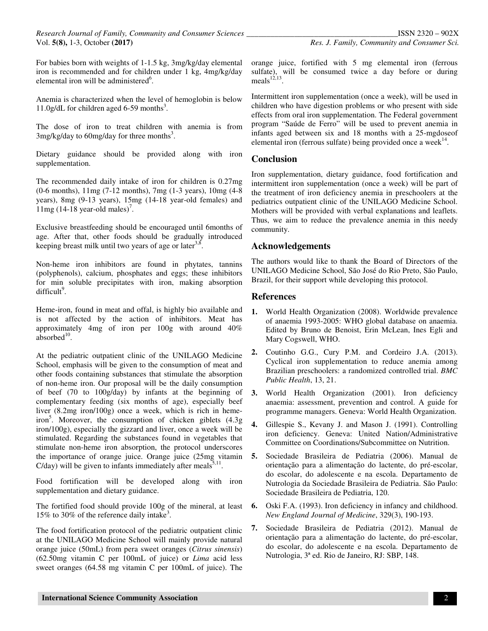For babies born with weights of 1-1.5 kg, 3mg/kg/day elemental iron is recommended and for children under 1 kg, 4mg/kg/day elemental iron will be administered<sup>6</sup>.

Anemia is characterized when the level of hemoglobin is below 11.0g/dL for children aged 6-59 months<sup>3</sup>.

The dose of iron to treat children with anemia is from  $3$ mg/kg/day to 60mg/day for three months<sup>3</sup>.

Dietary guidance should be provided along with iron supplementation.

The recommended daily intake of iron for children is 0.27mg (0-6 months), 11mg (7-12 months), 7mg (1-3 years), 10mg (4-8 years), 8mg (9-13 years), 15mg (14-18 year-old females) and  $11mg (14-18 \text{ year-old males})^7$ .

Exclusive breastfeeding should be encouraged until 6months of age. After that, other foods should be gradually introduced keeping breast milk until two years of age or later<sup>3,8</sup>.

Non-heme iron inhibitors are found in phytates, tannins (polyphenols), calcium, phosphates and eggs; these inhibitors for min soluble precipitates with iron, making absorption difficult<sup>9</sup>.

Heme-iron, found in meat and offal, is highly bio available and is not affected by the action of inhibitors. Meat has approximately 4mg of iron per 100g with around 40%  $absorbed<sup>10</sup>$ .

At the pediatric outpatient clinic of the UNILAGO Medicine School, emphasis will be given to the consumption of meat and other foods containing substances that stimulate the absorption of non-heme iron. Our proposal will be the daily consumption of beef (70 to 100g/day) by infants at the beginning of complementary feeding (six months of age), especially beef liver (8.2mg iron/100g) once a week, which is rich in hemeiron<sup>5</sup>. Moreover, the consumption of chicken giblets (4.3g) iron/100g), especially the gizzard and liver, once a week will be stimulated. Regarding the substances found in vegetables that stimulate non-heme iron absorption, the protocol underscores the importance of orange juice. Orange juice (25mg vitamin  $C/day)$  will be given to infants immediately after meals<sup>5,11</sup>.

Food fortification will be developed along with iron supplementation and dietary guidance.

The fortified food should provide 100g of the mineral, at least 15% to 30% of the reference daily intake<sup>3</sup> .

The food fortification protocol of the pediatric outpatient clinic at the UNILAGO Medicine School will mainly provide natural orange juice (50mL) from pera sweet oranges (*Citrus sinensis*) (62.50mg vitamin C per 100mL of juice) or *Lima* acid less sweet oranges (64.58 mg vitamin C per 100mL of juice). The orange juice, fortified with 5 mg elemental iron (ferrous sulfate), will be consumed twice a day before or during meals $12,13$ .

Intermittent iron supplementation (once a week), will be used in children who have digestion problems or who present with side effects from oral iron supplementation. The Federal government program "Saúde de Ferro" will be used to prevent anemia in infants aged between six and 18 months with a 25-mgdoseof elemental iron (ferrous sulfate) being provided once a week $^{14}$ .

# **Conclusion**

Iron supplementation, dietary guidance, food fortification and intermittent iron supplementation (once a week) will be part of the treatment of iron deficiency anemia in preschoolers at the pediatrics outpatient clinic of the UNILAGO Medicine School. Mothers will be provided with verbal explanations and leaflets. Thus, we aim to reduce the prevalence anemia in this needy community.

### **Acknowledgements**

The authors would like to thank the Board of Directors of the UNILAGO Medicine School, São José do Rio Preto, São Paulo, Brazil, for their support while developing this protocol.

### **References**

- **1.** World Health Organization (2008). Worldwide prevalence of anaemia 1993-2005: WHO global database on anaemia. Edited by Bruno de Benoist, Erin McLean, Ines Egli and Mary Cogswell, WHO.
- **2.** Coutinho G.G., Cury P.M. and Cordeiro J.A. (2013). Cyclical iron supplementation to reduce anemia among Brazilian preschoolers: a randomized controlled trial. *BMC Public Health*, 13, 21.
- **3.** World Health Organization (2001). Iron deficiency anaemia: assessment, prevention and control. A guide for programme managers. Geneva: World Health Organization.
- **4.** Gillespie S., Kevany J. and Mason J. (1991). Controlling iron deficiency. Geneva: United Nation/Administrative Committee on Coordinations/Subcommittee on Nutrition.
- **5.** Sociedade Brasileira de Pediatria (2006). Manual de orientação para a alimentação do lactente, do pré-escolar, do escolar, do adolescente e na escola. Departamento de Nutrologia da Sociedade Brasileira de Pediatria. São Paulo: Sociedade Brasileira de Pediatria, 120.
- **6.** Oski F.A. (1993). Iron deficiency in infancy and childhood. *New England Journal of Medicine*, 329(3), 190-193.
- **7.** Sociedade Brasileira de Pediatria (2012). Manual de orientação para a alimentação do lactente, do pré-escolar, do escolar, do adolescente e na escola. Departamento de Nutrologia, 3ª ed. Rio de Janeiro, RJ: SBP, 148.